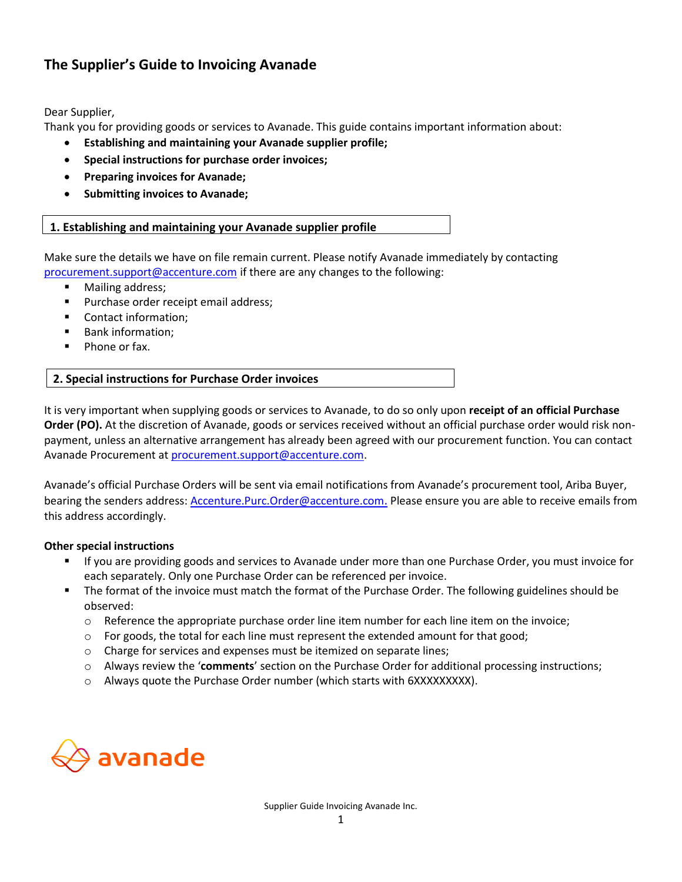# **The Supplier's Guide to Invoicing Avanade**

Dear Supplier,

Thank you for providing goods or services to Avanade. This guide contains important information about:

- **Establishing and maintaining your Avanade supplier profile;**
- **Special instructions for purchase order invoices;**
- **Preparing invoices for Avanade;**
- **Submitting invoices to Avanade;**

# **1. Establishing and maintaining your Avanade supplier profile**

Make sure the details we have on file remain current. Please notify Avanade immediately by contacting [procurement.support@accenture.com](mailto:procurement.support@accenture.com) if there are any changes to the following:

- Mailing address;
- Purchase order receipt email address;
- Contact information;
- Bank information;
- Phone or fax.

## **2. Special instructions for Purchase Order invoices**

It is very important when supplying goods or services to Avanade, to do so only upon **receipt of an official Purchase Order (PO).** At the discretion of Avanade, goods or services received without an official purchase order would risk nonpayment, unless an alternative arrangement has already been agreed with our procurement function. You can contact Avanade Procurement a[t procurement.support@accenture.com.](mailto:procurement.support@accenture.com)

Avanade's official Purchase Orders will be sent via email notifications from Avanade's procurement tool, Ariba Buyer, bearing the senders address: [Accenture.Purc.Order@accenture.com](mailto:Accenture.Purc.Order@accenture.com). Please ensure you are able to receive emails from this address accordingly.

## **Other special instructions**

- If you are providing goods and services to Avanade under more than one Purchase Order, you must invoice for each separately. Only one Purchase Order can be referenced per invoice.
- The format of the invoice must match the format of the Purchase Order. The following guidelines should be observed:
	- o Reference the appropriate purchase order line item number for each line item on the invoice;
	- $\circ$  For goods, the total for each line must represent the extended amount for that good;
	- o Charge for services and expenses must be itemized on separate lines;
	- o Always review the '**comments**' section on the Purchase Order for additional processing instructions;
	- o Always quote the Purchase Order number (which starts with 6XXXXXXXXX).

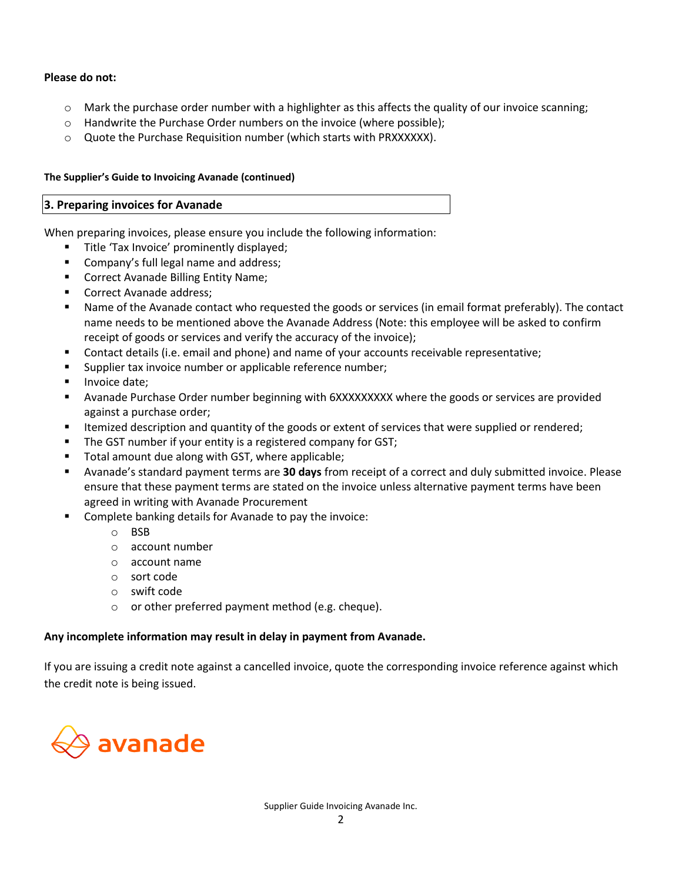### **Please do not:**

- $\circ$  Mark the purchase order number with a highlighter as this affects the quality of our invoice scanning;
- o Handwrite the Purchase Order numbers on the invoice (where possible);
- o Quote the Purchase Requisition number (which starts with PRXXXXXX).

#### **The Supplier's Guide to Invoicing Avanade (continued)**

#### **3. Preparing invoices for Avanade**

When preparing invoices, please ensure you include the following information:

- **■** Title 'Tax Invoice' prominently displayed;
- Company's full legal name and address;
- Correct Avanade Billing Entity Name;
- Correct Avanade address;
- Name of the Avanade contact who requested the goods or services (in email format preferably). The contact name needs to be mentioned above the Avanade Address (Note: this employee will be asked to confirm receipt of goods or services and verify the accuracy of the invoice);
- Contact details (i.e. email and phone) and name of your accounts receivable representative;
- Supplier tax invoice number or applicable reference number;
- Invoice date:
- Avanade Purchase Order number beginning with 6XXXXXXXXX where the goods or services are provided against a purchase order;
- **EXECT** Itemized description and quantity of the goods or extent of services that were supplied or rendered;
- The GST number if your entity is a registered company for GST;
- Total amount due along with GST, where applicable;
- Avanade's standard payment terms are **30 days** from receipt of a correct and duly submitted invoice. Please ensure that these payment terms are stated on the invoice unless alternative payment terms have been agreed in writing with Avanade Procurement
- Complete banking details for Avanade to pay the invoice:
	- o BSB
	- o account number
	- o account name
	- o sort code
	- o swift code
	- o or other preferred payment method (e.g. cheque).

### **Any incomplete information may result in delay in payment from Avanade.**

If you are issuing a credit note against a cancelled invoice, quote the corresponding invoice reference against which the credit note is being issued.